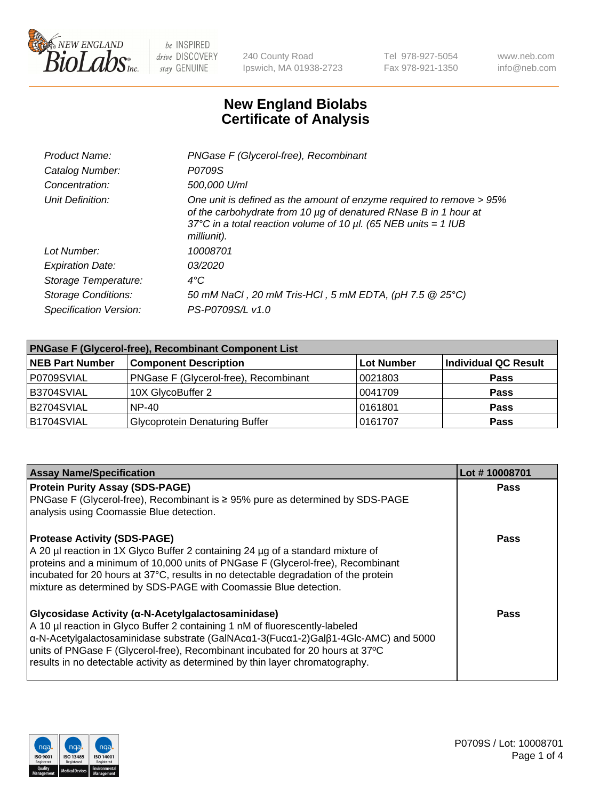

240 County Road Ipswich, MA 01938-2723 Tel 978-927-5054 Fax 978-921-1350 www.neb.com info@neb.com

## **New England Biolabs Certificate of Analysis**

| Product Name:              | PNGase F (Glycerol-free), Recombinant                                                                                                                                                                                           |  |
|----------------------------|---------------------------------------------------------------------------------------------------------------------------------------------------------------------------------------------------------------------------------|--|
| Catalog Number:            | P0709S                                                                                                                                                                                                                          |  |
| Concentration:             | 500,000 U/ml                                                                                                                                                                                                                    |  |
| Unit Definition:           | One unit is defined as the amount of enzyme required to remove > 95%<br>of the carbohydrate from 10 µg of denatured RNase B in 1 hour at<br>37°C in a total reaction volume of 10 $\mu$ l. (65 NEB units = 1 IUB<br>milliunit). |  |
| Lot Number:                | 10008701                                                                                                                                                                                                                        |  |
| <b>Expiration Date:</b>    | 03/2020                                                                                                                                                                                                                         |  |
| Storage Temperature:       | $4^{\circ}$ C                                                                                                                                                                                                                   |  |
| <b>Storage Conditions:</b> | 50 mM NaCl, 20 mM Tris-HCl, 5 mM EDTA, (pH 7.5 @ 25°C)                                                                                                                                                                          |  |
| Specification Version:     | PS-P0709S/L v1.0                                                                                                                                                                                                                |  |

| <b>PNGase F (Glycerol-free), Recombinant Component List</b> |                                       |                   |                      |  |  |
|-------------------------------------------------------------|---------------------------------------|-------------------|----------------------|--|--|
| <b>NEB Part Number</b>                                      | <b>Component Description</b>          | <b>Lot Number</b> | Individual QC Result |  |  |
| P0709SVIAL                                                  | PNGase F (Glycerol-free), Recombinant | 10021803          | <b>Pass</b>          |  |  |
| B3704SVIAL                                                  | 10X GlycoBuffer 2                     | 10041709          | <b>Pass</b>          |  |  |
| B2704SVIAL                                                  | <b>NP-40</b>                          | 0161801           | <b>Pass</b>          |  |  |
| B1704SVIAL                                                  | <b>Glycoprotein Denaturing Buffer</b> | 0161707           | <b>Pass</b>          |  |  |

| <b>Assay Name/Specification</b>                                                                                                                                                                                                                                                                                                                                                           | Lot #10008701 |
|-------------------------------------------------------------------------------------------------------------------------------------------------------------------------------------------------------------------------------------------------------------------------------------------------------------------------------------------------------------------------------------------|---------------|
| <b>Protein Purity Assay (SDS-PAGE)</b><br>PNGase F (Glycerol-free), Recombinant is ≥ 95% pure as determined by SDS-PAGE<br>analysis using Coomassie Blue detection.                                                                                                                                                                                                                       | Pass          |
| <b>Protease Activity (SDS-PAGE)</b><br>A 20 µl reaction in 1X Glyco Buffer 2 containing 24 µg of a standard mixture of<br>proteins and a minimum of 10,000 units of PNGase F (Glycerol-free), Recombinant<br>incubated for 20 hours at 37°C, results in no detectable degradation of the protein<br>mixture as determined by SDS-PAGE with Coomassie Blue detection.                      | <b>Pass</b>   |
| Glycosidase Activity (α-N-Acetylgalactosaminidase)<br>A 10 µl reaction in Glyco Buffer 2 containing 1 nM of fluorescently-labeled<br>α-N-Acetylgalactosaminidase substrate (GalNAcα1-3(Fucα1-2)Galβ1-4Glc-AMC) and 5000<br>units of PNGase F (Glycerol-free), Recombinant incubated for 20 hours at 37°C<br>results in no detectable activity as determined by thin layer chromatography. | Pass          |

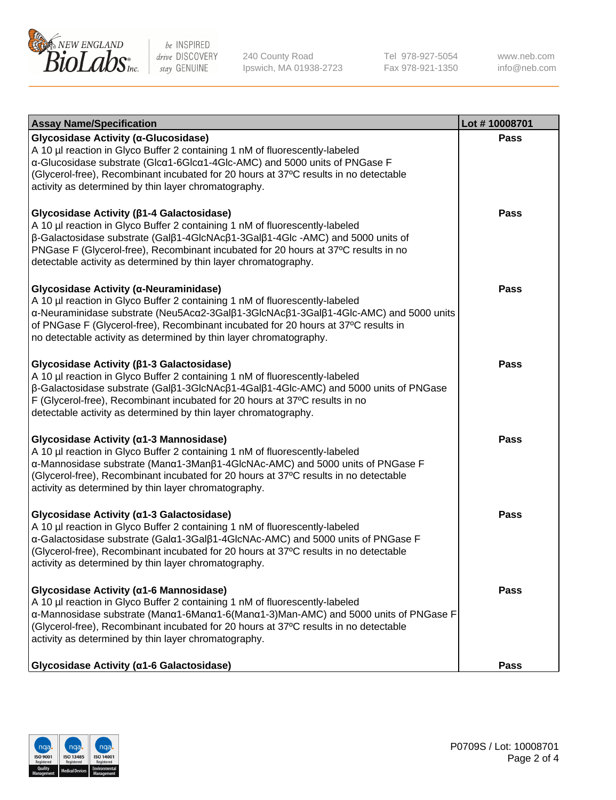

240 County Road Ipswich, MA 01938-2723 Tel 978-927-5054 Fax 978-921-1350 www.neb.com info@neb.com

| <b>Assay Name/Specification</b>                                                                                                                                                                                                                                                                                                                                           | Lot #10008701 |
|---------------------------------------------------------------------------------------------------------------------------------------------------------------------------------------------------------------------------------------------------------------------------------------------------------------------------------------------------------------------------|---------------|
| Glycosidase Activity (α-Glucosidase)<br>A 10 µl reaction in Glyco Buffer 2 containing 1 nM of fluorescently-labeled<br>a-Glucosidase substrate (Glca1-6Glca1-4Glc-AMC) and 5000 units of PNGase F<br>(Glycerol-free), Recombinant incubated for 20 hours at 37°C results in no detectable<br>activity as determined by thin layer chromatography.                         | Pass          |
| Glycosidase Activity (β1-4 Galactosidase)<br>A 10 µl reaction in Glyco Buffer 2 containing 1 nM of fluorescently-labeled<br>β-Galactosidase substrate (Galβ1-4GlcNAcβ1-3Galβ1-4Glc-AMC) and 5000 units of<br>PNGase F (Glycerol-free), Recombinant incubated for 20 hours at 37°C results in no<br>detectable activity as determined by thin layer chromatography.        | Pass          |
| Glycosidase Activity (α-Neuraminidase)<br>A 10 µl reaction in Glyco Buffer 2 containing 1 nM of fluorescently-labeled<br>α-Neuraminidase substrate (Neu5Acα2-3Galβ1-3GlcNAcβ1-3Galβ1-4Glc-AMC) and 5000 units<br>of PNGase F (Glycerol-free), Recombinant incubated for 20 hours at 37°C results in<br>no detectable activity as determined by thin layer chromatography. | <b>Pass</b>   |
| Glycosidase Activity (β1-3 Galactosidase)<br>A 10 µl reaction in Glyco Buffer 2 containing 1 nM of fluorescently-labeled<br>β-Galactosidase substrate (Galβ1-3GlcNAcβ1-4Galβ1-4Glc-AMC) and 5000 units of PNGase<br>F (Glycerol-free), Recombinant incubated for 20 hours at 37°C results in no<br>detectable activity as determined by thin layer chromatography.        | <b>Pass</b>   |
| Glycosidase Activity (α1-3 Mannosidase)<br>A 10 µl reaction in Glyco Buffer 2 containing 1 nM of fluorescently-labeled<br>α-Mannosidase substrate (Manα1-3Manβ1-4GlcNAc-AMC) and 5000 units of PNGase F<br>(Glycerol-free), Recombinant incubated for 20 hours at 37°C results in no detectable<br>activity as determined by thin layer chromatography.                   | <b>Pass</b>   |
| Glycosidase Activity (α1-3 Galactosidase)<br>A 10 µl reaction in Glyco Buffer 2 containing 1 nM of fluorescently-labeled<br>α-Galactosidase substrate (Galα1-3Galβ1-4GlcNAc-AMC) and 5000 units of PNGase F<br>(Glycerol-free), Recombinant incubated for 20 hours at 37°C results in no detectable<br>activity as determined by thin layer chromatography.               | <b>Pass</b>   |
| Glycosidase Activity (α1-6 Mannosidase)<br>A 10 µl reaction in Glyco Buffer 2 containing 1 nM of fluorescently-labeled<br>α-Mannosidase substrate (Manα1-6Manα1-6(Manα1-3)Man-AMC) and 5000 units of PNGase F<br>(Glycerol-free), Recombinant incubated for 20 hours at 37°C results in no detectable<br>activity as determined by thin layer chromatography.             | <b>Pass</b>   |
| Glycosidase Activity (a1-6 Galactosidase)                                                                                                                                                                                                                                                                                                                                 | <b>Pass</b>   |

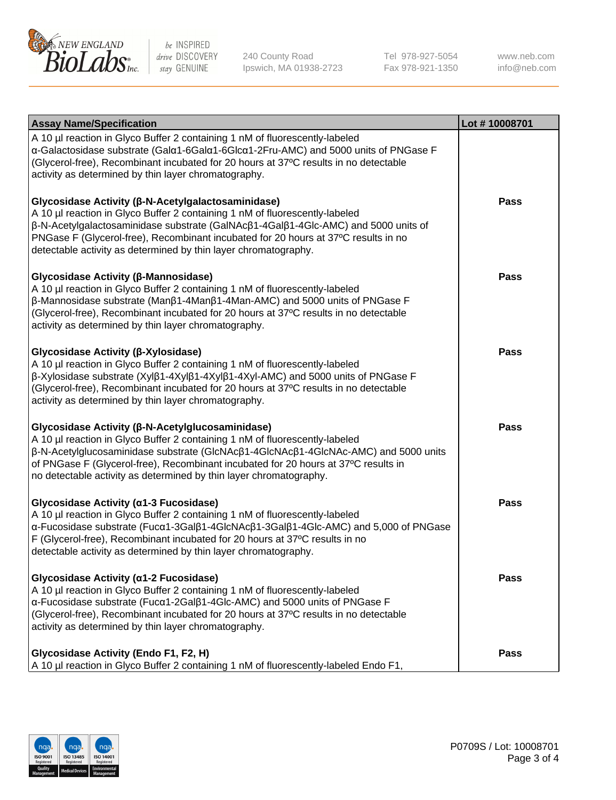

240 County Road Ipswich, MA 01938-2723 Tel 978-927-5054 Fax 978-921-1350

www.neb.com info@neb.com

| <b>Assay Name/Specification</b>                                                                                                                                                                                                                                                                                                                                                                           | Lot #10008701 |
|-----------------------------------------------------------------------------------------------------------------------------------------------------------------------------------------------------------------------------------------------------------------------------------------------------------------------------------------------------------------------------------------------------------|---------------|
| A 10 µl reaction in Glyco Buffer 2 containing 1 nM of fluorescently-labeled<br>α-Galactosidase substrate (Galα1-6Galα1-6Glcα1-2Fru-AMC) and 5000 units of PNGase F<br>(Glycerol-free), Recombinant incubated for 20 hours at 37°C results in no detectable<br>activity as determined by thin layer chromatography.                                                                                        |               |
| Glycosidase Activity (β-N-Acetylgalactosaminidase)<br>A 10 µl reaction in Glyco Buffer 2 containing 1 nM of fluorescently-labeled<br>$\beta$ -N-Acetylgalactosaminidase substrate (GalNAc $\beta$ 1-4Gal $\beta$ 1-4Glc-AMC) and 5000 units of<br>PNGase F (Glycerol-free), Recombinant incubated for 20 hours at 37°C results in no<br>detectable activity as determined by thin layer chromatography.   | <b>Pass</b>   |
| Glycosidase Activity (β-Mannosidase)<br>A 10 µl reaction in Glyco Buffer 2 containing 1 nM of fluorescently-labeled<br>$\beta$ -Mannosidase substrate (Man $\beta$ 1-4Man $\beta$ 1-4Man-AMC) and 5000 units of PNGase F<br>(Glycerol-free), Recombinant incubated for 20 hours at 37°C results in no detectable<br>activity as determined by thin layer chromatography.                                  | <b>Pass</b>   |
| Glycosidase Activity (β-Xylosidase)<br>A 10 µl reaction in Glyco Buffer 2 containing 1 nM of fluorescently-labeled<br>β-Xylosidase substrate (Xylβ1-4Xylβ1-4Xylβ1-4Xyl-AMC) and 5000 units of PNGase F<br>(Glycerol-free), Recombinant incubated for 20 hours at 37°C results in no detectable<br>activity as determined by thin layer chromatography.                                                    | <b>Pass</b>   |
| Glycosidase Activity (β-N-Acetylglucosaminidase)<br>A 10 µl reaction in Glyco Buffer 2 containing 1 nM of fluorescently-labeled<br>$\beta$ -N-Acetylglucosaminidase substrate (GIcNAc $\beta$ 1-4GIcNAc $\beta$ 1-4GIcNAc-AMC) and 5000 units<br>of PNGase F (Glycerol-free), Recombinant incubated for 20 hours at 37°C results in<br>no detectable activity as determined by thin layer chromatography. | <b>Pass</b>   |
| Glycosidase Activity (a1-3 Fucosidase)<br>A 10 µl reaction in Glyco Buffer 2 containing 1 nM of fluorescently-labeled<br>α-Fucosidase substrate (Fucα1-3Galβ1-4GlcNAcβ1-3Galβ1-4Glc-AMC) and 5,000 of PNGase<br>F (Glycerol-free), Recombinant incubated for 20 hours at 37°C results in no<br>detectable activity as determined by thin layer chromatography.                                            | <b>Pass</b>   |
| Glycosidase Activity (α1-2 Fucosidase)<br>A 10 µl reaction in Glyco Buffer 2 containing 1 nM of fluorescently-labeled<br>α-Fucosidase substrate (Fucα1-2Galβ1-4Glc-AMC) and 5000 units of PNGase F<br>(Glycerol-free), Recombinant incubated for 20 hours at 37°C results in no detectable<br>activity as determined by thin layer chromatography.                                                        | <b>Pass</b>   |
| Glycosidase Activity (Endo F1, F2, H)<br>A 10 µl reaction in Glyco Buffer 2 containing 1 nM of fluorescently-labeled Endo F1,                                                                                                                                                                                                                                                                             | <b>Pass</b>   |